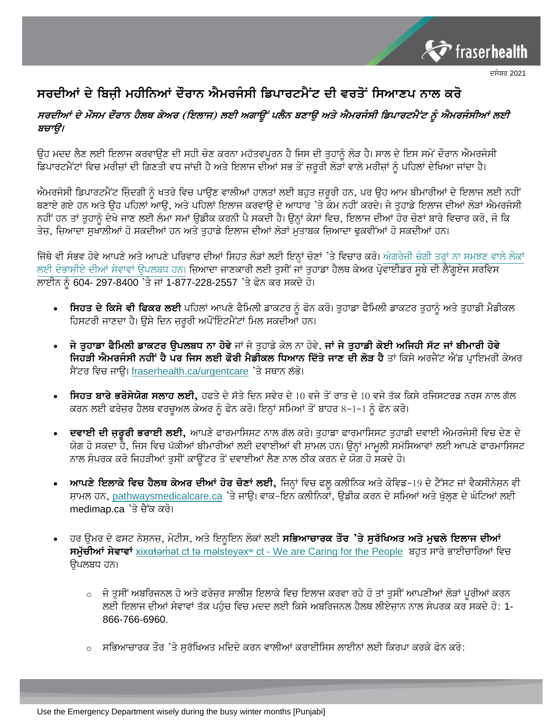

## ਦਸੰਬਰ 2021

## ਸਰਦੀਆਂ ਦੇ ਬਿਜੀ ਮਹੀਨਿਆਂ ਦੌਰਾਨ ਐਮਰਜੰਸੀ ਡਿਪਾਰਟਮੈਂਟ ਦੀ ਵਰਤੋਂ ਸਿਆਣਪ ਨਾਲ ਕਰੋ

## ਸਰਦੀਆਂ ਦੇ ਮੌਸਮ ਦੌਰਾਨ ਹੈਲਥ ਕੇਅਰ (ਇਲਾਜ) ਲਈ ਅਗਾਉਂ ਪਲੈਨ ਬਣਾਉ ਅਤੇ ਐਮਰਜੰਸੀ ਡਿਪਾਰਟਮੈਂਟ ਨੂੰ ਐਮਰਜੰਸੀਆਂ ਲਈ ਬਚਾੳ।

ਉਹ ਮਦਦ ਲੈਣ ਲਈ ਇਲਾਜ ਕਰਵਾਉਣ ਦੀ ਸਹੀ ਚੋਣ ਕਰਨਾ ਮਹੱਤਵਪੂਰਨ ਹੈ ਜਿਸ ਦੀ ਤੁਹਾਨੂੰ ਲੋੜ ਹੈ। ਸਾਲ ਦੇ ਇਸ ਸਮੇਂ ਦੌਰਾਨ ਐਮਰਜੰਸੀ ਡਿਪਾਰਟਮੈਂਟਾਂ ਵਿਚ ਮਰੀਜਾਂ ਦੀ ਗਿਣਤੀ ਵਧ ਜਾਂਦੀ ਹੈ ਅਤੇ ਇਲਾਜ ਦੀਆਂ ਸਭ ਤੋਂ ਜ਼ਰੂਰੀ ਲੋੜਾਂ ਵਾਲੇ ਮਰੀਜਾਂ ਨੂੰ ਪਹਿਲਾਂ ਦੇਖਿਆ ਜਾਂਦਾ ਹੈ।

ਐਮਰਜੰਸੀ ਡਿਪਾਰਟਮੈਂਟ ਜ਼ਿੰਦਗੀ ਨੰ ਖਤਰੇ ਵਿਚ ਪਾੳਣ ਵਾਲੀਆਂ ਹਾਲਤਾਂ ਲਈ ਬਹਤ ਜਰਰੀ ਹਨ, ਪਰ ੳਹ ਆਮ ਬੀਮਾਰੀਆਂ ਦੇ ਇਲਾਜ ਲਈ ਨਹੀਂ ਬਣਾਏ ਗਏ ਹਨ ਅਤੇ ਉਹ ਪਹਿਲਾਂ ਆਉ, ਅਤੇ ਪਹਿਲਾਂ ਇਲਾਜ ਕਰਵਾਉ ਦੇ ਆਧਾਰ 'ਤੇ ਕੰਮ ਨਹੀਂ ਕਰਦੇ। ਜੇ ਤੁਹਾਡੇ ਇਲਾਜ ਦੀਆਂ ਲੋੜਾਂ ਐਮਰਜੰਸੀ ਨਹੀਂ ਹਨ ਤਾਂ ਤੁਹਾਨੂੰ ਦੇਖੇ ਜਾਣ ਲਈ ਲੰਮਾ ਸਮਾਂ ਉਡੀਕ ਕਰਨੀ ਪੈ ਸਕਦੀ ਹੈ। ਉਨ੍ਹਾਂ ਕੇਸਾਂ ਵਿਚ, ਇਲਾਜ ਦੀਆਂ ਹੋਰ ਚੋਣਾਂ ਬਾਰੇ ਵਿਚਾਰ ਕਰੋ, ਜੋ ਕਿ ਤੇਜ, ਜਿ਼ਆਦਾ ਸਖਾਲੀਆਂ ਹੋ ਸਕਦੀਆਂ ਹਨ ਅਤੇ ਤਹਾਡੇ ਇਲਾਜ ਦੀਆਂ ਲੋੜਾਂ ਮਤਾਬਕ ਜ਼ਿਆਦਾ ਢਕਵੀਂਆਂ ਹੋ ਸਕਦੀਆਂ ਹਨ।

ਜਿੱਥੇ ਵੀ ਸੰਭਵ ਹੋਵੇ ਆਪਣੇ ਅਤੇ ਆਪਣੇ ਪਰਿਵਾਰ ਦੀਆਂ ਸਿਹਤ ਲੋੜਾਂ ਲਈ ਇਨ੍ਹਾਂ ਚੋਣਾਂ 'ਤੇ ਵਿਚਾਰ ਕਰੋ। ਅੰਗਰੇਜ਼ੀ ਚੰਗੀ ਤਰ੍ਹਾਂ ਨਾ ਸਮਝਣ ਵਾਲੇ ਲੋਕਾਂ ਲਈ ਦੋਭਾਸ਼ੀਏ ਦੀਆਂ ਸੇਵਾਵਾਂ ਉਪਲਬਧ ਹਨ। ਜ਼ਿਆਦਾ ਜਾਣਕਾਰੀ ਲਈ ਤੁਸੀਂ ਜਾਂ ਤੁਹਾਡਾ ਹੈਲਥ ਕੇਅਰ ਪ੍ਰੋਵਾਈਡਰ ਸੂਬੇ ਦੀ ਲੈਂਗੁਏਜ ਸਰਵਿਸ ਲਾਈਨ ਨੂੰ 604- 297-8400 'ਤੇ ਜਾਂ 1-877-228-2557 'ਤੇ ਫੋਨ ਕਰ ਸਕਦੇ ਹੋ।

- ਸਿਹਤ ਦੇ ਕਿਸੇ ਵੀ ਫਿਕਰ ਲਈ ਪਹਿਲਾਂ ਆਪਣੇ ਫੈਮਿਲੀ ਡਾਕਟਰ ਨੂੰ ਫੋਨ ਕਰੋ। ਤੁਹਾਡਾ ਫੈਮਿਲੀ ਡਾਕਟਰ ਤੁਹਾਨੂੰ ਅਤੇ ਤੁਹਾਡੀ ਮੈਡੀਕਲ ਹਿਸਟਰੀ ਜਾਣਦਾ ਹੈ। ਉਸੇ ਦਿਨ ਜ਼ਰੂਰੀ ਅਪੌਂਇੰਟਮੈਂਟਾਂ ਮਿਲ ਸਕਦੀਆਂ ਹਨ।
- ਜੇ ਤੁਹਾਡਾ ਫੈਮਿਲੀ ਡਾਕਟਰ ਉਪਲਬਧ ਨਾ ਹੋਵੇ ਜਾਂ ਜੇ ਤੁਹਾਡੇ ਕੋਲ ਨਾ ਹੋਵੇ, ਜਾਂ ਜੇ ਤੁਹਾਡੀ ਕੋਈ ਅਜਿਹੀ ਸੱਟ ਜਾਂ ਬੀਮਾਰੀ ਹੋਵੇ ਜਿਹੜੀ ਐਮਰਜੰਸੀ ਨਹੀਂ ਹੈ ਪਰ ਜਿਸ ਲਈ ਫੌਰੀ ਮੈਡੀਕਲ ਧਿਆਨ ਦਿੱਤੇ ਜਾਣ ਦੀ ਲੋੜ ਹੈ ਤਾਂ ਕਿਸੇ ਅਰਜੈਂਟ ਐਂਡ ਪ੍ਰਾਇਮਰੀ ਕੇਅਰ ਸੈਂਟਰ ਵਿਚ ਜਾੳ। fraserhealth.ca/urgentcare 'ਤੇ ਸਥਾਨ ਲੱਭੋ।
- **ਸਿਹਤ ਬਾਰੇ ਭਰੋਸੇਯੋਗ ਸਲਾਹ ਲਈ,** ਹਫਤੇ ਦੇ ਸੱਤੇ ਦਿਨ ਸਵੇਰ ਦੇ 10 ਵਜੇ ਤੋਂ ਰਾਤ ਦੇ 10 ਵਜੇ ਤੱਕ ਕਿਸੇ ਰਜਿਸਟਰਡ ਨਰਸ ਨਾਲ ਗੱਲ ਕਰਨ ਲਈ ਫਰੇਜ਼ਰ ਹੈਲਥ ਵਰਚੁਅਲ ਕੇਅਰ ਨੂੰ ਫੋਨ ਕਰੋ। ਇਨ੍ਹਾਂ ਸਮਿਆਂ ਤੋਂ ਬਾਹਰ 8–1–1 ਨੂੰ ਫੋਨ ਕਰੋ।
- ਂ ਦਵਾਈ ਦੀ ਜਰੂਰੀ ਭਰਾਈ ਲਈ, ਆਪਣੇ ਫਾਰਮਾਸਿਸਟ ਨਾਲ ਗੱਲ ਕਰੋ। ਤੁਹਾਡਾ ਫਾਰਮਾਸਿਸਟ ਤੁਹਾਡੀ ਦਵਾਈ ਐਮਰਜੰਸੀ ਵਿਚ ਦੇਣ ਦੇ ਯੋਗ ਹੋ ਸਕਦਾ ਹੈ, ਜਿਸ ਵਿਚ ਪੱਕੀਆਂ ਬੀਮਾਰੀਆਂ ਲਈ ਦਵਾਈਆਂ ਵੀ ਸ਼ਾਮਲ ਹਨ। ਉਨ੍ਹਾਂ ਮਾਮੂਲੀ ਸਮੱਸਿਆਵਾਂ ਲਈ ਆਪਣੇ ਫਾਰਮਾਸਿਸਟ ਨਾਲ ਸੰਪਰਕ ਕਰੋ ਜਿਹੜੀਆਂ ਤੁਸੀਂ ਕਾਉਂਟਰ ਤੋਂ ਦਵਾਈਆਂ ਲੈਣ ਨਾਲ ਠੀਕ ਕਰਨ ਦੇ ਯੋਗ ਹੋ ਸਕਦੇ ਹੋ।
- **ੁਆਪਣੇ ਇਲਾਕੇ ਵਿਚ ਹੈਲਥ ਕੇਅਰ ਦੀਆਂ ਹੋਰ ਚੋਣਾਂ ਲਈ,** ਜਿਨ੍ਹਾਂ ਵਿਚ ਫਲ ਕਲੀਨਿਕ ਅਤੇ ਕੋਵਿਡ-19 ਦੇ ਟੈੱਸਟ ਜਾਂ ਵੈਕਸੀਨੇਸ਼ਨ ਵੀ ਸ਼ਾਮਲ ਹਨ, pathwaysmedicalcare.ca 'ਤੇ ਜਾਉ। ਵਾਕ-ਇਨ ਕਲੀਨਿਕਾਂ, ਉਡੀਕ ਕਰਨ ਦੇ ਸਮਿਆਂ ਅਤੇ ਖੁੱਲ੍ਹਣ ਦੇ ਘੰਟਿਆਂ ਲਈ medimap.ca 'ਤੇ ਚੈੱਕ ਕਰੋ।
- ਾਰ ਉਮਰ ਦੇ ਫਸਟ ਨੇਸ਼ਨਜ਼, ਮੇਟੀਸ, ਅਤੇ ਇਨੁਇਨ ਲੋਕਾਂ ਲਈ **ਸਭਿਆਚਾਰਕ ਤੌਰ 'ਤੇ ਸੁਰੱਖਿਅਤ ਅਤੇ ਮੁਢਲੇ ਇਲਾਜ ਦੀਆਂ** <mark>ਸਮੁੱਚੀਆਂ ਸੇਵਾਵਾਂ</mark> <u>xixɑɬəṁət ct tə məlsteyəxʷ ct - We are Caring for the People</u> ਬਹੁਤ ਸਾਰੇ ਭਾਈਚਾਰਿਆਂ ਵਿਚ ਉਪਲਬਧ ਹਨ।
	- ਼ ਜੇ ਤਸੀਂ ਅਬਰਿਜਨਲ ਹੋ ਅਤੇ ਫਰੇਜਰ ਸਾਲੀਸ ਇਲਾਕੇ ਵਿਚ ਇਲਾਜ ਕਰਵਾ ਰਹੇ ਹੋ ਤਾਂ ਤਸੀਂ ਆਪਣੀਆਂ ਲੋੜਾਂ ਪਰੀਆਂ ਕਰਨ ਲਈ ਇਲਾਜ ਦੀਆਂ ਸੇਵਾਵਾਂ ਤੱਕ ਪਹੰਚ ਵਿਚ ਮਦਦ ਲਈ ਕਿਸੇ ਅਬਰਿਜਨਲ ਹੈਲਥ ਲੀਏਜ਼ਾਨ ਨਾਲ ਸੰਪਰਕ ਕਰ ਸਕਦੇ ਹੋ: 1-866-766-6960.
	- ਸਭਿਆਚਾਰਕ ਤੌਰ 'ਤੇ ਸੁਰੱਖਿਅਤ ਮਦਿਦੇ ਕਰਨ ਵਾਲੀਆਂ ਕਰਾਈਸਿਸ ਲਾਈਨਾਂ ਲਈ ਕਿਰਪਾ ਕਰਕੇ ਫੋਨ ਕਰੋ: